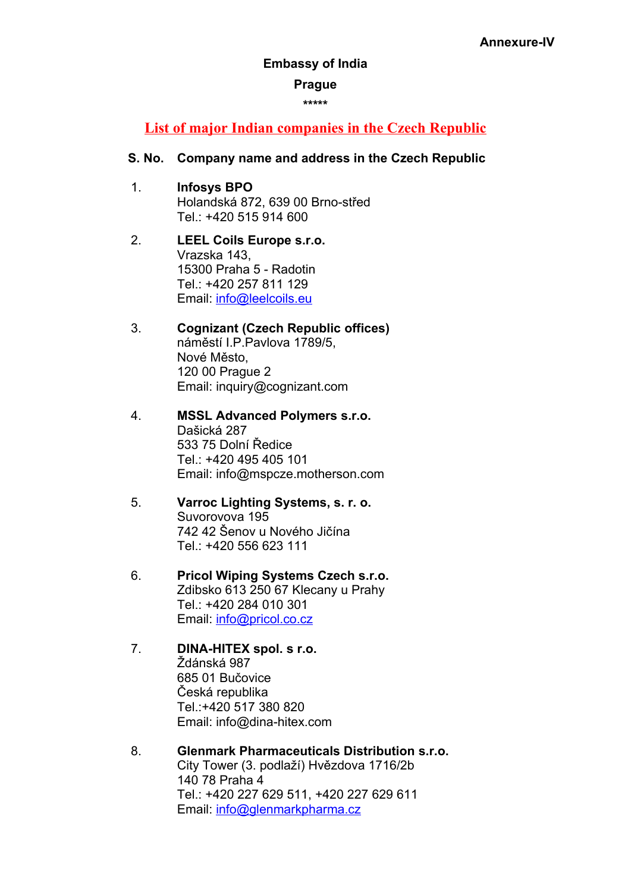### **Embassy of India**

### **Prague**

**\*\*\*\*\***

## **List of major Indian companies in the Czech Republic**

### **S. No. Company name and address in the Czech Republic**

- 1. **Infosys BPO** Holandská 872, 639 00 Brno-střed Tel.: +420 515 914 600
- 2. **LEEL Coils Europe s.r.o.** Vrazska 143, 15300 Praha 5 - Radotin Tel.: +420 257 811 129 Email: [info@leelcoils.eu](mailto:info@leelcoils.eu)
- 3. **Cognizant (Czech Republic offices)** náměstí I.P.Pavlova 1789/5, Nové Město, 120 00 Prague 2 Email: inquiry@cognizant.com
- 4. **MSSL Advanced Polymers s.r.o.** Dašická 287 533 75 Dolní Ředice Tel.: +420 495 405 101 Email: [info@mspcze.motherson.com](mailto:info@mspcze.motherson.com)
- 5. **Varroc Lighting Systems, s. r. o.** Suvorovova 195 742 42 Šenov u Nového Jičína Tel.: +420 556 623 111
- 6. **Pricol Wiping Systems Czech s.r.o.** Zdibsko 613 250 67 Klecany u Prahy Tel.: +420 284 010 301 Email: [info@pricol.co.cz](mailto:info@pricol.co.cz)
- 7. **DINA-HITEX spol. s r.o.** Ždánská 987 685 01 Bučovice Česká republika Tel.:+420 517 380 820 Email: [info@dina-hitex.com](mailto:info@dina-hitex.com)
- 8. **Glenmark Pharmaceuticals Distribution s.r.o.** City Tower (3. podlaží) Hvězdova 1716/2b 140 78 Praha 4 Tel.: +420 227 629 511, +420 227 629 611 Email: [info@glenmarkpharma.cz](mailto:info@glenmarkpharma.cz)